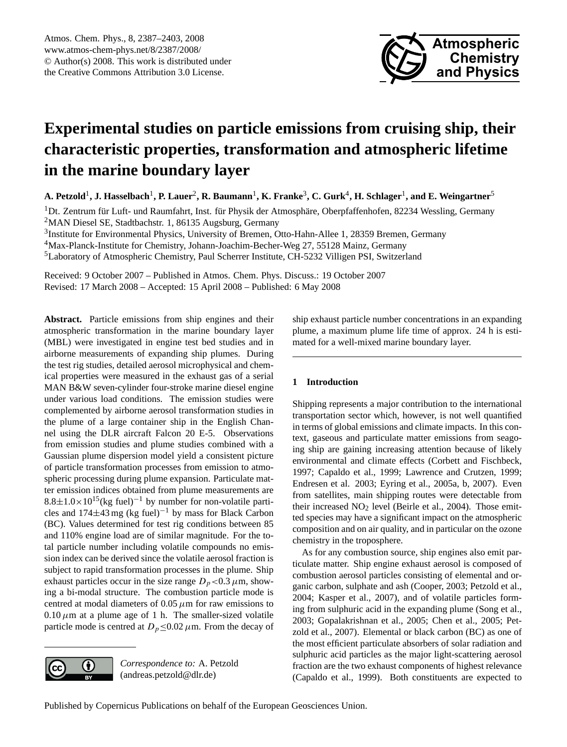

# <span id="page-0-0"></span>**Experimental studies on particle emissions from cruising ship, their characteristic properties, transformation and atmospheric lifetime in the marine boundary layer**

**A. Petzold**<sup>1</sup> **, J. Hasselbach**<sup>1</sup> **, P. Lauer**<sup>2</sup> **, R. Baumann**<sup>1</sup> **, K. Franke**<sup>3</sup> **, C. Gurk**<sup>4</sup> **, H. Schlager**<sup>1</sup> **, and E. Weingartner**<sup>5</sup>

 $1$ Dt. Zentrum für Luft- und Raumfahrt, Inst. für Physik der Atmosphäre, Oberpfaffenhofen, 82234 Wessling, Germany <sup>2</sup>MAN Diesel SE, Stadtbachstr. 1, 86135 Augsburg, Germany

<sup>3</sup>Institute for Environmental Physics, University of Bremen, Otto-Hahn-Allee 1, 28359 Bremen, Germany <sup>4</sup>Max-Planck-Institute for Chemistry, Johann-Joachim-Becher-Weg 27, 55128 Mainz, Germany <sup>5</sup>Laboratory of Atmospheric Chemistry, Paul Scherrer Institute, CH-5232 Villigen PSI, Switzerland

Received: 9 October 2007 – Published in Atmos. Chem. Phys. Discuss.: 19 October 2007 Revised: 17 March 2008 – Accepted: 15 April 2008 – Published: 6 May 2008

**Abstract.** Particle emissions from ship engines and their atmospheric transformation in the marine boundary layer (MBL) were investigated in engine test bed studies and in airborne measurements of expanding ship plumes. During the test rig studies, detailed aerosol microphysical and chemical properties were measured in the exhaust gas of a serial MAN B&W seven-cylinder four-stroke marine diesel engine under various load conditions. The emission studies were complemented by airborne aerosol transformation studies in the plume of a large container ship in the English Channel using the DLR aircraft Falcon 20 E-5. Observations from emission studies and plume studies combined with a Gaussian plume dispersion model yield a consistent picture of particle transformation processes from emission to atmospheric processing during plume expansion. Particulate matter emission indices obtained from plume measurements are  $8.8\pm1.0\times10^{15}$ (kg fuel)<sup>-1</sup> by number for non-volatile particles and  $174\pm43$  mg (kg fuel)<sup>-1</sup> by mass for Black Carbon (BC). Values determined for test rig conditions between 85 and 110% engine load are of similar magnitude. For the total particle number including volatile compounds no emission index can be derived since the volatile aerosol fraction is subject to rapid transformation processes in the plume. Ship exhaust particles occur in the size range  $D_p < 0.3 \mu$ m, showing a bi-modal structure. The combustion particle mode is centred at modal diameters of  $0.05 \mu$ m for raw emissions to  $0.10 \mu$ m at a plume age of 1 h. The smaller-sized volatile particle mode is centred at  $D_p \le 0.02 \mu$ m. From the decay of



*Correspondence to:* A. Petzold (andreas.petzold@dlr.de)

ship exhaust particle number concentrations in an expanding plume, a maximum plume life time of approx. 24 h is estimated for a well-mixed marine boundary layer.

# **1 Introduction**

Shipping represents a major contribution to the international transportation sector which, however, is not well quantified in terms of global emissions and climate impacts. In this context, gaseous and particulate matter emissions from seagoing ship are gaining increasing attention because of likely environmental and climate effects (Corbett and Fischbeck, 1997; Capaldo et al., 1999; Lawrence and Crutzen, 1999; Endresen et al. 2003; Eyring et al., 2005a, b, 2007). Even from satellites, main shipping routes were detectable from their increased  $NO<sub>2</sub>$  level (Beirle et al., 2004). Those emitted species may have a significant impact on the atmospheric composition and on air quality, and in particular on the ozone chemistry in the troposphere.

As for any combustion source, ship engines also emit particulate matter. Ship engine exhaust aerosol is composed of combustion aerosol particles consisting of elemental and organic carbon, sulphate and ash (Cooper, 2003; Petzold et al., 2004; Kasper et al., 2007), and of volatile particles forming from sulphuric acid in the expanding plume (Song et al., 2003; Gopalakrishnan et al., 2005; Chen et al., 2005; Petzold et al., 2007). Elemental or black carbon (BC) as one of the most efficient particulate absorbers of solar radiation and sulphuric acid particles as the major light-scattering aerosol fraction are the two exhaust components of highest relevance (Capaldo et al., 1999). Both constituents are expected to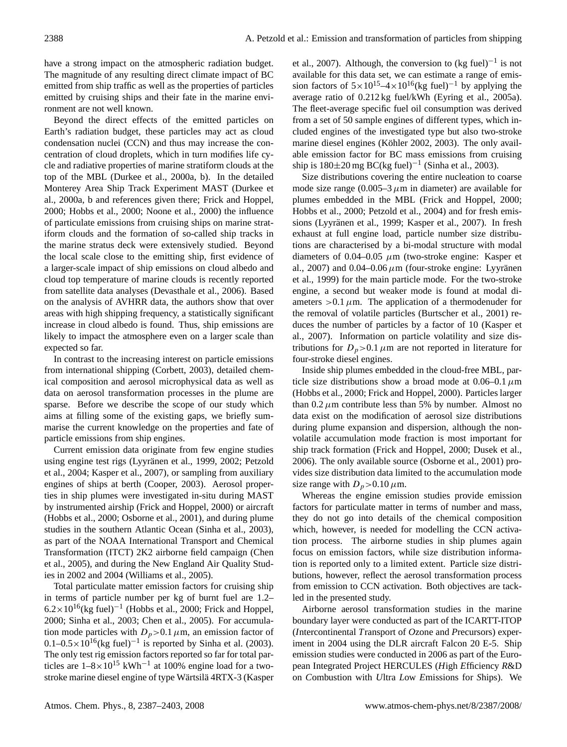have a strong impact on the atmospheric radiation budget. The magnitude of any resulting direct climate impact of BC emitted from ship traffic as well as the properties of particles emitted by cruising ships and their fate in the marine environment are not well known.

Beyond the direct effects of the emitted particles on Earth's radiation budget, these particles may act as cloud condensation nuclei (CCN) and thus may increase the concentration of cloud droplets, which in turn modifies life cycle and radiative properties of marine stratiform clouds at the top of the MBL (Durkee et al., 2000a, b). In the detailed Monterey Area Ship Track Experiment MAST (Durkee et al., 2000a, b and references given there; Frick and Hoppel, 2000; Hobbs et al., 2000; Noone et al., 2000) the influence of particulate emissions from cruising ships on marine stratiform clouds and the formation of so-called ship tracks in the marine stratus deck were extensively studied. Beyond the local scale close to the emitting ship, first evidence of a larger-scale impact of ship emissions on cloud albedo and cloud top temperature of marine clouds is recently reported from satellite data analyses (Devasthale et al., 2006). Based on the analysis of AVHRR data, the authors show that over areas with high shipping frequency, a statistically significant increase in cloud albedo is found. Thus, ship emissions are likely to impact the atmosphere even on a larger scale than expected so far.

In contrast to the increasing interest on particle emissions from international shipping (Corbett, 2003), detailed chemical composition and aerosol microphysical data as well as data on aerosol transformation processes in the plume are sparse. Before we describe the scope of our study which aims at filling some of the existing gaps, we briefly summarise the current knowledge on the properties and fate of particle emissions from ship engines.

Current emission data originate from few engine studies using engine test rigs (Lyyränen et al., 1999, 2002; Petzold et al., 2004; Kasper et al., 2007), or sampling from auxiliary engines of ships at berth (Cooper, 2003). Aerosol properties in ship plumes were investigated in-situ during MAST by instrumented airship (Frick and Hoppel, 2000) or aircraft (Hobbs et al., 2000; Osborne et al., 2001), and during plume studies in the southern Atlantic Ocean (Sinha et al., 2003), as part of the NOAA International Transport and Chemical Transformation (ITCT) 2K2 airborne field campaign (Chen et al., 2005), and during the New England Air Quality Studies in 2002 and 2004 (Williams et al., 2005).

Total particulate matter emission factors for cruising ship in terms of particle number per kg of burnt fuel are 1.2–  $6.2 \times 10^{16}$ (kg fuel)<sup>-1</sup> (Hobbs et al., 2000; Frick and Hoppel, 2000; Sinha et al., 2003; Chen et al., 2005). For accumulation mode particles with  $D_p > 0.1 \mu$ m, an emission factor of  $0.1-0.5\times10^{16}$  (kg fuel)<sup>-1</sup> is reported by Sinha et al. (2003). The only test rig emission factors reported so far for total particles are  $1-8\times10^{15}$  kWh<sup>-1</sup> at 100% engine load for a twostroke marine diesel engine of type Wärtsilä 4RTX-3 (Kasper

et al., 2007). Although, the conversion to  $(kg$  fuel)<sup>-1</sup> is not available for this data set, we can estimate a range of emission factors of  $5\times10^{15}$ –4×10<sup>16</sup>(kg fuel)<sup>-1</sup> by applying the average ratio of 0.212 kg fuel/kWh (Eyring et al., 2005a). The fleet-average specific fuel oil consumption was derived from a set of 50 sample engines of different types, which included engines of the investigated type but also two-stroke marine diesel engines (Köhler 2002, 2003). The only available emission factor for BC mass emissions from cruising ship is  $180 \pm 20$  mg BC(kg fuel)<sup>-1</sup> (Sinha et al., 2003).

Size distributions covering the entire nucleation to coarse mode size range  $(0.005-3 \mu m)$  in diameter) are available for plumes embedded in the MBL (Frick and Hoppel, 2000; Hobbs et al., 2000; Petzold et al., 2004) and for fresh emissions (Lyyränen et al., 1999; Kasper et al., 2007). In fresh exhaust at full engine load, particle number size distributions are characterised by a bi-modal structure with modal diameters of 0.04–0.05  $\mu$ m (two-stroke engine: Kasper et al., 2007) and 0.04–0.06  $\mu$ m (four-stroke engine: Lyyränen et al., 1999) for the main particle mode. For the two-stroke engine, a second but weaker mode is found at modal diameters  $>0.1 \mu$ m. The application of a thermodenuder for the removal of volatile particles (Burtscher et al., 2001) reduces the number of particles by a factor of 10 (Kasper et al., 2007). Information on particle volatility and size distributions for  $D_p > 0.1 \mu m$  are not reported in literature for four-stroke diesel engines.

Inside ship plumes embedded in the cloud-free MBL, particle size distributions show a broad mode at  $0.06-0.1 \mu m$ (Hobbs et al., 2000; Frick and Hoppel, 2000). Particles larger than  $0.2 \mu$ m contribute less than 5% by number. Almost no data exist on the modification of aerosol size distributions during plume expansion and dispersion, although the nonvolatile accumulation mode fraction is most important for ship track formation (Frick and Hoppel, 2000; Dusek et al., 2006). The only available source (Osborne et al., 2001) provides size distribution data limited to the accumulation mode size range with  $D_p > 0.10 \,\mu \text{m}$ .

Whereas the engine emission studies provide emission factors for particulate matter in terms of number and mass, they do not go into details of the chemical composition which, however, is needed for modelling the CCN activation process. The airborne studies in ship plumes again focus on emission factors, while size distribution information is reported only to a limited extent. Particle size distributions, however, reflect the aerosol transformation process from emission to CCN activation. Both objectives are tackled in the presented study.

Airborne aerosol transformation studies in the marine boundary layer were conducted as part of the ICARTT-ITOP (*I*ntercontinental *T*ransport of *O*zone and *P*recursors) experiment in 2004 using the DLR aircraft Falcon 20 E-5. Ship emission studies were conducted in 2006 as part of the European Integrated Project HERCULES (*H*igh *E*fficiency *R*&D on *C*ombustion with *U*ltra *L*ow *E*missions for *S*hips). We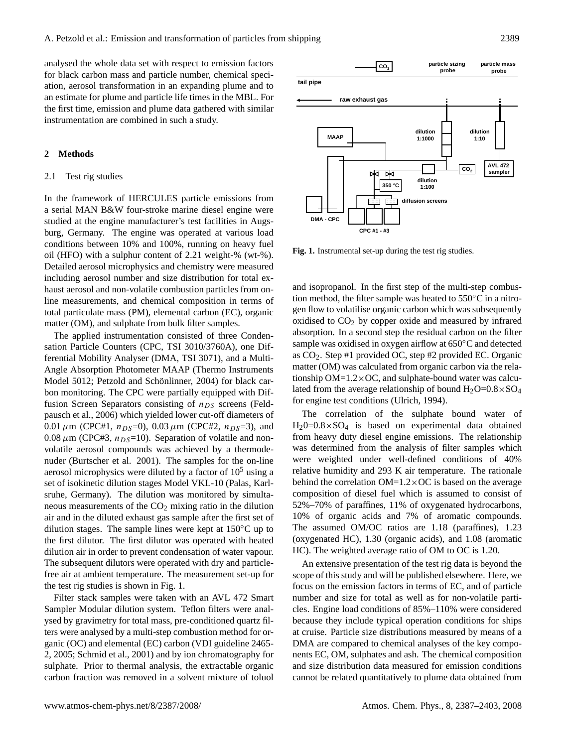analysed the whole data set with respect to emission factors for black carbon mass and particle number, chemical speciation, aerosol transformation in an expanding plume and to an estimate for plume and particle life times in the MBL. For the first time, emission and plume data gathered with similar instrumentation are combined in such a study.

#### **2 Methods**

#### 2.1 Test rig studies

In the framework of HERCULES particle emissions from a serial MAN B&W four-stroke marine diesel engine were studied at the engine manufacturer's test facilities in Augsburg, Germany. The engine was operated at various load conditions between 10% and 100%, running on heavy fuel oil (HFO) with a sulphur content of 2.21 weight-% (wt-%). Detailed aerosol microphysics and chemistry were measured including aerosol number and size distribution for total exhaust aerosol and non-volatile combustion particles from online measurements, and chemical composition in terms of total particulate mass (PM), elemental carbon (EC), organic matter (OM), and sulphate from bulk filter samples.

The applied instrumentation consisted of three Condensation Particle Counters (CPC, TSI 3010/3760A), one Differential Mobility Analyser (DMA, TSI 3071), and a Multi-Angle Absorption Photometer MAAP (Thermo Instruments Model 5012; Petzold and Schönlinner, 2004) for black carbon monitoring. The CPC were partially equipped with Diffusion Screen Separators consisting of  $n_{DS}$  screens (Feldpausch et al., 2006) which yielded lower cut-off diameters of  $0.01 \mu m$  (CPC#1,  $n_{DS}=0$ ),  $0.03 \mu m$  (CPC#2,  $n_{DS}=3$ ), and  $0.08 \mu$ m (CPC#3,  $n_{DS}=10$ ). Separation of volatile and nonvolatile aerosol compounds was achieved by a thermodenuder (Burtscher et al. 2001). The samples for the on-line aerosol microphysics were diluted by a factor of  $10<sup>5</sup>$  using a set of isokinetic dilution stages Model VKL-10 (Palas, Karlsruhe, Germany). The dilution was monitored by simultaneous measurements of the  $CO<sub>2</sub>$  mixing ratio in the dilution air and in the diluted exhaust gas sample after the first set of dilution stages. The sample lines were kept at 150◦C up to the first dilutor. The first dilutor was operated with heated dilution air in order to prevent condensation of water vapour. The subsequent dilutors were operated with dry and particlefree air at ambient temperature. The measurement set-up for the test rig studies is shown in Fig. 1.

Filter stack samples were taken with an AVL 472 Smart Sampler Modular dilution system. Teflon filters were analysed by gravimetry for total mass, pre-conditioned quartz filters were analysed by a multi-step combustion method for organic (OC) and elemental (EC) carbon (VDI guideline 2465- 2, 2005; Schmid et al., 2001) and by ion chromatography for sulphate. Prior to thermal analysis, the extractable organic carbon fraction was removed in a solvent mixture of toluol



**Fig. 1.** Instrumental set-up during the test rig studies.

and isopropanol. In the first step of the multi-step combustion method, the filter sample was heated to 550◦C in a nitrogen flow to volatilise organic carbon which was subsequently oxidised to  $CO<sub>2</sub>$  by copper oxide and measured by infrared absorption. In a second step the residual carbon on the filter sample was oxidised in oxygen airflow at 650◦C and detected as CO2. Step #1 provided OC, step #2 provided EC. Organic matter (OM) was calculated from organic carbon via the relationship  $OM=1.2\times OC$ , and sulphate-bound water was calculated from the average relationship of bound  $H_2O=0.8\times SO_4$ for engine test conditions (Ulrich, 1994).

The correlation of the sulphate bound water of  $H_20=0.8\times SO_4$  is based on experimental data obtained from heavy duty diesel engine emissions. The relationship was determined from the analysis of filter samples which were weighted under well-defined conditions of 40% relative humidity and 293 K air temperature. The rationale behind the correlation  $OM=1.2\times OC$  is based on the average composition of diesel fuel which is assumed to consist of 52%–70% of paraffines, 11% of oxygenated hydrocarbons, 10% of organic acids and 7% of aromatic compounds. The assumed OM/OC ratios are 1.18 (paraffines), 1.23 (oxygenated HC), 1.30 (organic acids), and 1.08 (aromatic HC). The weighted average ratio of OM to OC is 1.20.

An extensive presentation of the test rig data is beyond the scope of this study and will be published elsewhere. Here, we focus on the emission factors in terms of EC, and of particle number and size for total as well as for non-volatile particles. Engine load conditions of 85%–110% were considered because they include typical operation conditions for ships at cruise. Particle size distributions measured by means of a DMA are compared to chemical analyses of the key components EC, OM, sulphates and ash. The chemical composition and size distribution data measured for emission conditions cannot be related quantitatively to plume data obtained from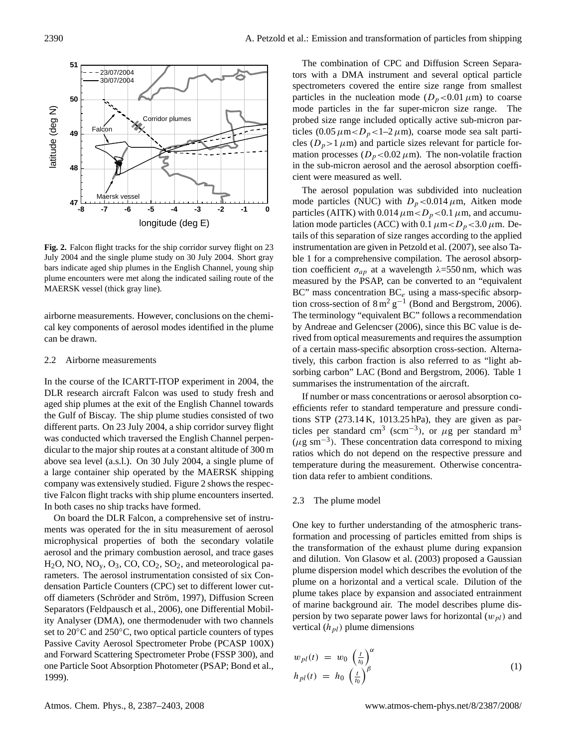

Fig. 2. Falcon flight tracks for the ship corridor survey flight on 23 July 2004 and the single plume study on 30 July 2004. Short gray bars indicate aged ship plumes in the English Channel, young ship plume encounters were met along the indicated sailing route of the MAERSK vessel (thick gray line).

airborne measurements. However, conclusions on the chemical key components of aerosol modes identified in the plume can be drawn.

#### 2.2 Airborne measurements

In the course of the ICARTT-ITOP experiment in 2004, the DLR research aircraft Falcon was used to study fresh and aged ship plumes at the exit of the English Channel towards the Gulf of Biscay. The ship plume studies consisted of two different parts. On 23 July 2004, a ship corridor survey flight was conducted which traversed the English Channel perpendicular to the major ship routes at a constant altitude of 300 m above sea level (a.s.l.). On 30 July 2004, a single plume of a large container ship operated by the MAERSK shipping company was extensively studied. Figure 2 shows the respective Falcon flight tracks with ship plume encounters inserted. In both cases no ship tracks have formed.

On board the DLR Falcon, a comprehensive set of instruments was operated for the in situ measurement of aerosol microphysical properties of both the secondary volatile aerosol and the primary combustion aerosol, and trace gases  $H_2O$ , NO, NO<sub>v</sub>, O<sub>3</sub>, CO, CO<sub>2</sub>, SO<sub>2</sub>, and meteorological parameters. The aerosol instrumentation consisted of six Condensation Particle Counters (CPC) set to different lower cutoff diameters (Schröder and Ström, 1997), Diffusion Screen Separators (Feldpausch et al., 2006), one Differential Mobility Analyser (DMA), one thermodenuder with two channels set to 20<sup>°</sup>C and 250<sup>°</sup>C, two optical particle counters of types Passive Cavity Aerosol Spectrometer Probe (PCASP 100X) and Forward Scattering Spectrometer Probe (FSSP 300), and one Particle Soot Absorption Photometer (PSAP; Bond et al., 1999).

The combination of CPC and Diffusion Screen Separators with a DMA instrument and several optical particle spectrometers covered the entire size range from smallest particles in the nucleation mode  $(D_p<0.01 \mu m)$  to coarse mode particles in the far super-micron size range. The probed size range included optically active sub-micron particles (0.05  $\mu$ m <  $D_p$  < 1–2  $\mu$ m), coarse mode sea salt particles ( $D_p$ >1 $\mu$ m) and particle sizes relevant for particle formation processes  $(D_p<0.02 \mu m)$ . The non-volatile fraction in the sub-micron aerosol and the aerosol absorption coefficient were measured as well.

The aerosol population was subdivided into nucleation mode particles (NUC) with  $D_p < 0.014 \mu$ m, Aitken mode particles (AITK) with 0.014  $\mu$ m $<$ D<sub>p</sub> $<$ 0.1  $\mu$ m, and accumulation mode particles (ACC) with 0.1  $\mu$ m<br/> $D_p$ <3.0  $\mu$ m. Details of this separation of size ranges according to the applied instrumentation are given in Petzold et al. (2007), see also Table 1 for a comprehensive compilation. The aerosol absorption coefficient  $\sigma_{ap}$  at a wavelength  $\lambda$ =550 nm, which was measured by the PSAP, can be converted to an "equivalent BC" mass concentration  $BC_e$  using a mass-specific absorption cross-section of  $8 \text{ m}^2 \text{ g}^{-1}$  (Bond and Bergstrom, 2006). The terminology "equivalent BC" follows a recommendation by Andreae and Gelencser (2006), since this BC value is derived from optical measurements and requires the assumption of a certain mass-specific absorption cross-section. Alternatively, this carbon fraction is also referred to as "light absorbing carbon" LAC (Bond and Bergstrom, 2006). Table 1 summarises the instrumentation of the aircraft.

If number or mass concentrations or aerosol absorption coefficients refer to standard temperature and pressure conditions STP (273.14 K, 1013.25 hPa), they are given as particles per standard cm<sup>3</sup> (scm<sup>-3</sup>), or  $\mu$ g per standard m<sup>3</sup>  $(\mu g \text{ sm}^{-3})$ . These concentration data correspond to mixing ratios which do not depend on the respective pressure and temperature during the measurement. Otherwise concentration data refer to ambient conditions.

#### 2.3 The plume model

One key to further understanding of the atmospheric transformation and processing of particles emitted from ships is the transformation of the exhaust plume during expansion and dilution. Von Glasow et al. (2003) proposed a Gaussian plume dispersion model which describes the evolution of the plume on a horizontal and a vertical scale. Dilution of the plume takes place by expansion and associated entrainment of marine background air. The model describes plume dispersion by two separate power laws for horizontal  $(w_{pl})$  and vertical  $(h_{pl})$  plume dimensions

$$
w_{pl}(t) = w_0 \left(\frac{t}{t_0}\right)^{\alpha}
$$
  
\n
$$
h_{pl}(t) = h_0 \left(\frac{t}{t_0}\right)^{\beta}
$$
\n(1)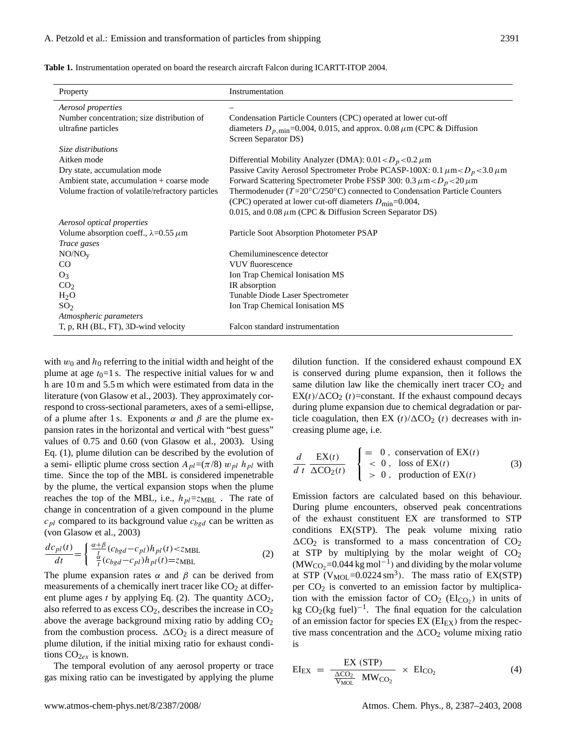|  |  |  |  | <b>Table 1.</b> Instrumentation operated on board the research aircraft Falcon during ICARTT-ITOP 2004. |  |
|--|--|--|--|---------------------------------------------------------------------------------------------------------|--|
|--|--|--|--|---------------------------------------------------------------------------------------------------------|--|

| Property                                         | Instrumentation                                                                                               |
|--------------------------------------------------|---------------------------------------------------------------------------------------------------------------|
| Aerosol properties                               |                                                                                                               |
| Number concentration; size distribution of       | Condensation Particle Counters (CPC) operated at lower cut-off                                                |
| ultrafine particles                              | diameters $D_{p,\text{min}}$ =0.004, 0.015, and approx. 0.08 $\mu$ m (CPC & Diffusion<br>Screen Separator DS) |
| Size distributions                               |                                                                                                               |
| Aitken mode                                      | Differential Mobility Analyzer (DMA): $0.01 < D_p < 0.2 \mu$ m                                                |
| Dry state, accumulation mode                     | Passive Cavity Aerosol Spectrometer Probe PCASP-100X: 0.1 $\mu$ m< $D_p$ <3.0 $\mu$ m                         |
| Ambient state, accumulation + coarse mode        | Forward Scattering Spectrometer Probe FSSP 300: 0.3 $\mu$ m < $D_p$ < 20 $\mu$ m                              |
| Volume fraction of volatile/refractory particles | Thermodenuder ( $T=20^{\circ}C/250^{\circ}C$ ) connected to Condensation Particle Counters                    |
|                                                  | (CPC) operated at lower cut-off diameters $D_{\text{min}} = 0.004$ ,                                          |
|                                                  | 0.015, and 0.08 $\mu$ m (CPC & Diffusion Screen Separator DS)                                                 |
| Aerosol optical properties                       |                                                                                                               |
| Volume absorption coeff., $\lambda = 0.55 \mu$ m | Particle Soot Absorption Photometer PSAP                                                                      |
| Trace gases                                      |                                                                                                               |
| NO/NO <sub>v</sub>                               | Chemiluminescence detector                                                                                    |
| CO                                               | <b>VUV</b> fluorescence                                                                                       |
| $O_3$                                            | Ion Trap Chemical Ionisation MS                                                                               |
| CO <sub>2</sub>                                  | IR absorption                                                                                                 |
| $H_2O$                                           | Tunable Diode Laser Spectrometer                                                                              |
| SO <sub>2</sub>                                  | Ion Trap Chemical Ionisation MS                                                                               |
| Atmospheric parameters                           |                                                                                                               |
| T, p, RH (BL, FT), 3D-wind velocity              | Falcon standard instrumentation                                                                               |

with  $w_0$  and  $h_0$  referring to the initial width and height of the plume at age  $t_0=1$  s. The respective initial values for w and h are 10 m and 5.5 m which were estimated from data in the literature (von Glasow et al., 2003). They approximately correspond to cross-sectional parameters, axes of a semi-ellipse, of a plume after 1 s. Exponents  $\alpha$  and  $\beta$  are the plume expansion rates in the horizontal and vertical with "best guess" values of 0.75 and 0.60 (von Glasow et al., 2003). Using Eq. (1), plume dilution can be described by the evolution of a semi- elliptic plume cross section  $A_{pl} = (\pi/8) w_{pl} h_{pl}$  with time. Since the top of the MBL is considered impenetrable by the plume, the vertical expansion stops when the plume reaches the top of the MBL, i.e.,  $h_{pl} = z_{MBL}$ . The rate of change in concentration of a given compound in the plume  $c_{pl}$  compared to its background value  $c_{bgd}$  can be written as (von Glasow et al., 2003)

$$
\frac{dc_{pl}(t)}{dt} = \begin{cases} \frac{\alpha+\beta}{t} (c_{bgd} - c_{pl})h_{pl}(t) < z_{MBL} \\ \frac{\alpha}{t} (c_{bgd} - c_{pl})h_{pl}(t) = z_{MBL} \end{cases}
$$
 (2)

The plume expansion rates  $\alpha$  and  $\beta$  can be derived from measurements of a chemically inert tracer like  $CO<sub>2</sub>$  at different plume ages t by applying Eq. (2). The quantity  $\Delta CO_2$ , also referred to as excess  $CO<sub>2</sub>$ , describes the increase in  $CO<sub>2</sub>$ above the average background mixing ratio by adding  $CO<sub>2</sub>$ from the combustion process.  $\Delta CO_2$  is a direct measure of plume dilution, if the initial mixing ratio for exhaust conditions  $CO<sub>2ex</sub>$  is known.

The temporal evolution of any aerosol property or trace gas mixing ratio can be investigated by applying the plume

dilution function. If the considered exhaust compound EX is conserved during plume expansion, then it follows the same dilution law like the chemically inert tracer  $CO<sub>2</sub>$  and  $EX(t)/\Delta CO_2$  (*t*)=constant. If the exhaust compound decays during plume expansion due to chemical degradation or particle coagulation, then EX  $(t)/\Delta CO_2$  (t) decreases with increasing plume age, i.e.

$$
\frac{d}{dt} \frac{\text{EX}(t)}{\Delta \text{CO}_2(t)} \begin{cases} = 0, \text{ conservation of EX}(t) \\ < 0, \text{loss of EX}(t) \\ > 0, \text{ production of EX}(t) \end{cases} (3)
$$

Emission factors are calculated based on this behaviour. During plume encounters, observed peak concentrations of the exhaust constituent EX are transformed to STP conditions EX(STP). The peak volume mixing ratio  $\Delta CO_2$  is transformed to a mass concentration of  $CO_2$ at STP by multiplying by the molar weight of  $CO<sub>2</sub>$  $(MW_{CO_2}=0.044 \text{ kg mol}^{-1})$  and dividing by the molar volume at STP  $(V_{MOL} = 0.0224 \text{ sm}^3)$ . The mass ratio of EX(STP) per  $CO<sub>2</sub>$  is converted to an emission factor by multiplication with the emission factor of  $CO<sub>2</sub> (El<sub>CO<sub>2</sub></sub>)$  in units of kg  $CO_2$ (kg fuel)<sup>-1</sup>. The final equation for the calculation of an emission factor for species  $EX(EI_{EX})$  from the respective mass concentration and the  $\Delta CO_2$  volume mixing ratio is

$$
EI_{EX} = \frac{EX (STP)}{\frac{\Delta CO_2}{V_{MOL}} M W_{CO_2}} \times EI_{CO_2}
$$
 (4)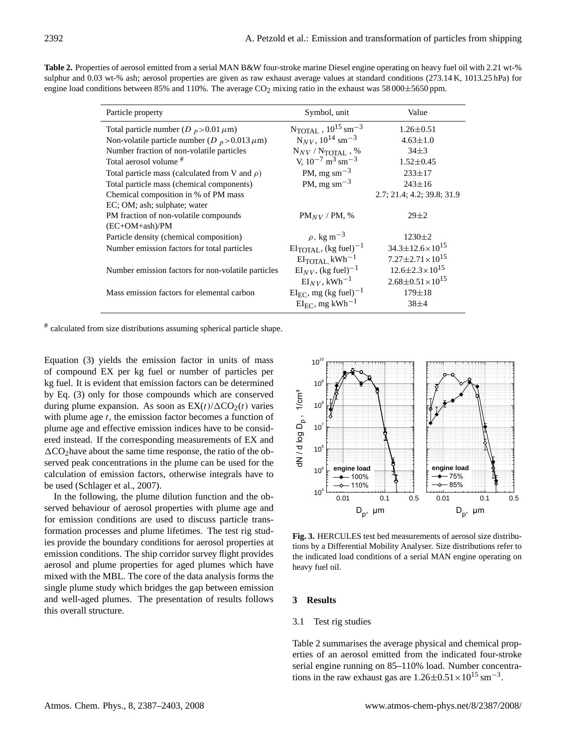| Particle property                                            | Symbol, unit                                    | Value                          |
|--------------------------------------------------------------|-------------------------------------------------|--------------------------------|
| Total particle number (D $_p$ > 0.01 $\mu$ m)                | $N_{\text{TOTAL}}$ , $10^{15}$ sm <sup>-3</sup> | $1.26 \pm 0.51$                |
| Non-volatile particle number ( $D_p > 0.013 \,\mu\text{m}$ ) | $N_{NV}$ , $10^{14}$ sm <sup>-3</sup>           | $4.63 \pm 1.0$                 |
| Number fraction of non-volatile particles                    | $N_{\text{NV}}/N_{\text{TOTAI}}$ , %            | $34 + 3$                       |
| Total aerosol volume <sup>#</sup>                            | V, $10^{-7}$ m <sup>3</sup> sm <sup>-3</sup>    | $1.52 \pm 0.45$                |
| Total particle mass (calculated from V and $\rho$ )          | PM, mg sm <sup><math>-3</math></sup>            | $233 \pm 17$                   |
| Total particle mass (chemical components)                    | PM, mg sm <sup><math>-3</math></sup>            | $243 \pm 16$                   |
| Chemical composition in % of PM mass                         |                                                 | 2.7; 21.4; 4.2; 39.8; 31.9     |
| EC; OM; ash; sulphate; water                                 |                                                 |                                |
| PM fraction of non-volatile compounds                        | $PM_{NV}$ / PM, %                               | $29 \pm 2$                     |
| $(EC+OM+ash)/PM$                                             |                                                 |                                |
| Particle density (chemical composition)                      | $\rho$ , kg m <sup>-3</sup>                     | $1230 \pm 2$                   |
| Number emission factors for total particles                  | $EI_{\text{TOTAI}}$ , (kg fuel) <sup>-1</sup>   | $34.3 \pm 12.6 \times 10^{15}$ |
|                                                              | $EI$ <sub>TOTAL</sub> $kWh^{-1}$                | $7.27 \pm 2.71 \times 10^{15}$ |
| Number emission factors for non-volatile particles           | $EI_{NV}$ , (kg fuel) <sup>-1</sup>             | $12.6 \pm 2.3 \times 10^{15}$  |
|                                                              | $EI_{NV}$ , kWh <sup>-1</sup>                   | $2.68\pm0.51\times10^{15}$     |
| Mass emission factors for elemental carbon                   | $EI_{\text{EC}}$ , mg (kg fuel) <sup>-1</sup>   | $179 \pm 18$                   |
|                                                              | $EI_{FC}$ , mg kWh <sup>-1</sup>                | $38+4$                         |

**Table 2.** Properties of aerosol emitted from a serial MAN B&W four-stroke marine Diesel engine operating on heavy fuel oil with 2.21 wt-% sulphur and 0.03 wt-% ash; aerosol properties are given as raw exhaust average values at standard conditions (273.14 K, 1013.25 hPa) for engine load conditions between 85% and 110%. The average  $CO<sub>2</sub>$  mixing ratio in the exhaust was 58 000±5650 ppm.

# calculated from size distributions assuming spherical particle shape.

Equation (3) yields the emission factor in units of mass of compound EX per kg fuel or number of particles per kg fuel. It is evident that emission factors can be determined by Eq. (3) only for those compounds which are conserved during plume expansion. As soon as  $EX(t)/\Delta CO_2(t)$  varies with plume age  $t$ , the emission factor becomes a function of plume age and effective emission indices have to be considered instead. If the corresponding measurements of EX and  $\Delta$ CO<sub>2</sub> have about the same time response, the ratio of the observed peak concentrations in the plume can be used for the calculation of emission factors, otherwise integrals have to be used (Schlager et al., 2007).

In the following, the plume dilution function and the observed behaviour of aerosol properties with plume age and for emission conditions are used to discuss particle transformation processes and plume lifetimes. The test rig studies provide the boundary conditions for aerosol properties at emission conditions. The ship corridor survey flight provides aerosol and plume properties for aged plumes which have mixed with the MBL. The core of the data analysis forms the single plume study which bridges the gap between emission and well-aged plumes. The presentation of results follows this overall structure.



**Fig. 3.** HERCULES test bed measurements of aerosol size distributions by a Differential Mobility Analyser. Size distributions refer to the indicated load conditions of a serial MAN engine operating on heavy fuel oil.

## **3 Results**

#### 3.1 Test rig studies

Table 2 summarises the average physical and chemical properties of an aerosol emitted from the indicated four-stroke serial engine running on 85–110% load. Number concentrations in the raw exhaust gas are  $1.26 \pm 0.51 \times 10^{15}$  sm<sup>-3</sup>.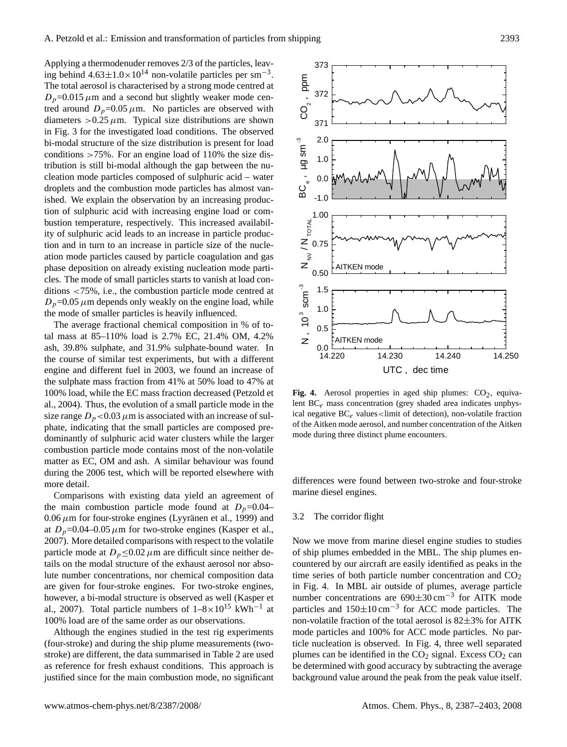Applying a thermodenuder removes 2/3 of the particles, leaving behind  $4.63 \pm 1.0 \times 10^{14}$  non-volatile particles per sm<sup>-3</sup>. The total aerosol is characterised by a strong mode centred at  $D_p$ =0.015  $\mu$ m and a second but slightly weaker mode centred around  $D_p=0.05 \mu \text{m}$ . No particles are observed with diameters  $>0.25 \mu$ m. Typical size distributions are shown in Fig. 3 for the investigated load conditions. The observed bi-modal structure of the size distribution is present for load conditions  $>75\%$ . For an engine load of 110% the size distribution is still bi-modal although the gap between the nucleation mode particles composed of sulphuric acid – water droplets and the combustion mode particles has almost vanished. We explain the observation by an increasing production of sulphuric acid with increasing engine load or combustion temperature, respectively. This increased availability of sulphuric acid leads to an increase in particle production and in turn to an increase in particle size of the nucleation mode particles caused by particle coagulation and gas phase deposition on already existing nucleation mode particles. The mode of small particles starts to vanish at load conditions <75%, i.e., the combustion particle mode centred at  $D_p$ =0.05  $\mu$ m depends only weakly on the engine load, while the mode of smaller particles is heavily influenced.

The average fractional chemical composition in % of total mass at 85–110% load is 2.7% EC, 21.4% OM, 4.2% ash, 39.8% sulphate, and 31.9% sulphate-bound water. In the course of similar test experiments, but with a different engine and different fuel in 2003, we found an increase of the sulphate mass fraction from 41% at 50% load to 47% at 100% load, while the EC mass fraction decreased (Petzold et al., 2004). Thus, the evolution of a small particle mode in the size range  $D_p < 0.03 \mu$ m is associated with an increase of sulphate, indicating that the small particles are composed predominantly of sulphuric acid water clusters while the larger combustion particle mode contains most of the non-volatile matter as EC, OM and ash. A similar behaviour was found during the 2006 test, which will be reported elsewhere with more detail.

Comparisons with existing data yield an agreement of the main combustion particle mode found at  $D_p=0.04 0.06 \,\mu$ m for four-stroke engines (Lyyränen et al., 1999) and at  $D_p=0.04-0.05 \mu m$  for two-stroke engines (Kasper et al., 2007). More detailed comparisons with respect to the volatile particle mode at  $D_p \leq 0.02 \mu$ m are difficult since neither details on the modal structure of the exhaust aerosol nor absolute number concentrations, nor chemical composition data are given for four-stroke engines. For two-stroke engines, however, a bi-modal structure is observed as well (Kasper et al., 2007). Total particle numbers of  $1-8\times10^{15}$  kWh<sup>-1</sup> at 100% load are of the same order as our observations.

Although the engines studied in the test rig experiments (four-stroke) and during the ship plume measurements (twostroke) are different, the data summarised in Table 2 are used as reference for fresh exhaust conditions. This approach is justified since for the main combustion mode, no significant



**Fig. 4.** Aerosol properties in aged ship plumes:  $CO<sub>2</sub>$ , equivalent  $BC_e$  mass concentration (grey shaded area indicates unphysical negative  $BC_e$  values<limit of detection), non-volatile fraction of the Aitken mode aerosol, and number concentration of the Aitken mode during three distinct plume encounters.

differences were found between two-stroke and four-stroke marine diesel engines.

#### 3.2 The corridor flight

Now we move from marine diesel engine studies to studies of ship plumes embedded in the MBL. The ship plumes encountered by our aircraft are easily identified as peaks in the time series of both particle number concentration and  $CO<sub>2</sub>$ in Fig. 4. In MBL air outside of plumes, average particle number concentrations are 690±30 cm−<sup>3</sup> for AITK mode particles and  $150\pm10 \text{ cm}^{-3}$  for ACC mode particles. The non-volatile fraction of the total aerosol is  $82\pm3\%$  for AITK mode particles and 100% for ACC mode particles. No particle nucleation is observed. In Fig. 4, three well separated plumes can be identified in the  $CO<sub>2</sub>$  signal. Excess  $CO<sub>2</sub>$  can be determined with good accuracy by subtracting the average background value around the peak from the peak value itself.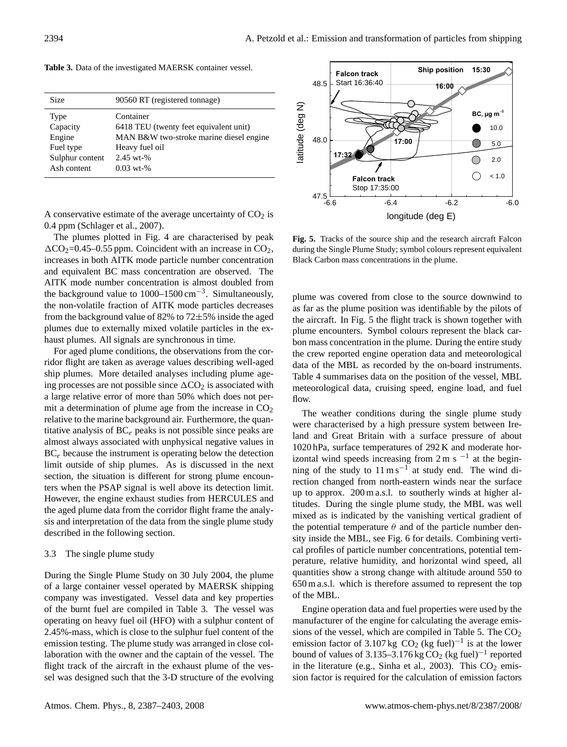| <b>Size</b>     | 90560 RT (registered tonnage)           |
|-----------------|-----------------------------------------|
| Type            | Container                               |
| Capacity        | 6418 TEU (twenty feet equivalent unit)  |
| Engine          | MAN B&W two-stroke marine diesel engine |
| Fuel type       | Heavy fuel oil                          |
| Sulphur content | $2.45$ wt-%                             |
| Ash content     | $0.03$ wt-%                             |

**Table 3.** Data of the investigated MAERSK container vessel.

A conservative estimate of the average uncertainty of  $CO<sub>2</sub>$  is 0.4 ppm (Schlager et al., 2007).

The plumes plotted in Fig. 4 are characterised by peak  $\Delta CO_2 = 0.45 - 0.55$  ppm. Coincident with an increase in CO<sub>2</sub>, increases in both AITK mode particle number concentration and equivalent BC mass concentration are observed. The AITK mode number concentration is almost doubled from the background value to  $1000-1500$  cm<sup>-3</sup>. Simultaneously, the non-volatile fraction of AITK mode particles decreases from the background value of 82% to 72±5% inside the aged plumes due to externally mixed volatile particles in the exhaust plumes. All signals are synchronous in time.

For aged plume conditions, the observations from the corridor flight are taken as average values describing well-aged ship plumes. More detailed analyses including plume ageing processes are not possible since  $\Delta CO_2$  is associated with a large relative error of more than 50% which does not permit a determination of plume age from the increase in  $CO<sub>2</sub>$ relative to the marine background air. Furthermore, the quantitative analysis of  $BC_e$  peaks is not possible since peaks are almost always associated with unphysical negative values in  $BC_e$  because the instrument is operating below the detection limit outside of ship plumes. As is discussed in the next section, the situation is different for strong plume encounters when the PSAP signal is well above its detection limit. However, the engine exhaust studies from HERCULES and the aged plume data from the corridor flight frame the analysis and interpretation of the data from the single plume study described in the following section.

#### 3.3 The single plume study

During the Single Plume Study on 30 July 2004, the plume of a large container vessel operated by MAERSK shipping company was investigated. Vessel data and key properties of the burnt fuel are compiled in Table 3. The vessel was operating on heavy fuel oil (HFO) with a sulphur content of 2.45%-mass, which is close to the sulphur fuel content of the emission testing. The plume study was arranged in close collaboration with the owner and the captain of the vessel. The flight track of the aircraft in the exhaust plume of the vessel was designed such that the 3-D structure of the evolving



**Fig. 5.** Tracks of the source ship and the research aircraft Falcon during the Single Plume Study; symbol colours represent equivalent Black Carbon mass concentrations in the plume.

plume was covered from close to the source downwind to as far as the plume position was identifiable by the pilots of the aircraft. In Fig. 5 the flight track is shown together with plume encounters. Symbol colours represent the black carbon mass concentration in the plume. During the entire study the crew reported engine operation data and meteorological data of the MBL as recorded by the on-board instruments. Table 4 summarises data on the position of the vessel, MBL meteorological data, cruising speed, engine load, and fuel flow.

The weather conditions during the single plume study were characterised by a high pressure system between Ireland and Great Britain with a surface pressure of about 1020 hPa, surface temperatures of 292 K and moderate horizontal wind speeds increasing from  $2 \text{ m s}^{-1}$  at the beginning of the study to 11 m s<sup>-1</sup> at study end. The wind direction changed from north-eastern winds near the surface up to approx. 200 m a.s.l. to southerly winds at higher altitudes. During the single plume study, the MBL was well mixed as is indicated by the vanishing vertical gradient of the potential temperature  $\theta$  and of the particle number density inside the MBL, see Fig. 6 for details. Combining vertical profiles of particle number concentrations, potential temperature, relative humidity, and horizontal wind speed, all quantities show a strong change with altitude around 550 to 650 m a.s.l. which is therefore assumed to represent the top of the MBL.

Engine operation data and fuel properties were used by the manufacturer of the engine for calculating the average emissions of the vessel, which are compiled in Table 5. The  $CO<sub>2</sub>$ emission factor of 3.107 kg  $CO_2$  (kg fuel)<sup>-1</sup> is at the lower bound of values of 3.135–3.176 kg  $CO_2$  (kg fuel)<sup>-1</sup> reported in the literature (e.g., Sinha et al., 2003). This  $CO<sub>2</sub>$  emission factor is required for the calculation of emission factors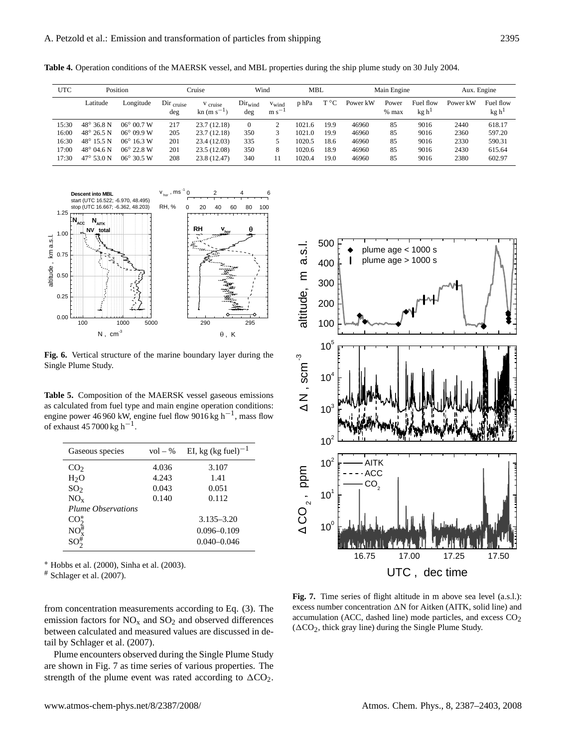**Table 4.** Operation conditions of the MAERSK vessel, and MBL properties during the ship plume study on 30 July 2004.

| UTC   |                     | Position            |                              | Cruise                                                | Wind                       |                          | MBL    |      |          | Main Engine      |                                | Aux. Engine |                                |
|-------|---------------------|---------------------|------------------------------|-------------------------------------------------------|----------------------------|--------------------------|--------|------|----------|------------------|--------------------------------|-------------|--------------------------------|
|       | Latitude            | Longitude           | $Dir_{\text{cruise}}$<br>deg | <sup>V</sup> cruise<br>$\rm{kn}$ (m s <sup>-1</sup> ) | Dir <sub>wind</sub><br>deg | $v_{wind}$<br>$m s^{-1}$ | p hPa  | Т°С  | Power kW | Power<br>$%$ max | Fuel flow<br>kg h <sup>1</sup> | Power kW    | Fuel flow<br>kg h <sup>1</sup> |
| 15:30 | $48^{\circ}$ 36.8 N | $06^{\circ}$ 00.7 W | 217                          | 23.7 (12.18)                                          | $\mathbf{0}$               |                          | 1021.6 | 19.9 | 46960    | 85               | 9016                           | 2440        | 618.17                         |
| 16:00 | $48^{\circ} 26.5 N$ | $06^{\circ} 09.9 W$ | 205                          | 23.7 (12.18)                                          | 350                        |                          | 1021.0 | 19.9 | 46960    | 85               | 9016                           | 2360        | 597.20                         |
| 16:30 | $48^{\circ}$ 15.5 N | $06^{\circ}$ 16.3 W | 201                          | 23.4 (12.03)                                          | 335                        |                          | 1020.5 | 18.6 | 46960    | 85               | 9016                           | 2330        | 590.31                         |
| 17:00 | $48^{\circ}$ 04.6 N | $06^{\circ}$ 22.8 W | 201                          | 23.5 (12.08)                                          | 350                        | 8                        | 1020.6 | 18.9 | 46960    | 85               | 9016                           | 2430        | 615.64                         |
| 17:30 | $47^{\circ}$ 53.0 N | $06^{\circ}$ 30.5 W | 208                          | 23.8 (12.47)                                          | 340                        | 11                       | 1020.4 | 19.0 | 46960    | 85               | 9016                           | 2380        | 602.97                         |



**Single Plume Study. Fig. 6.** Vertical structure of the marine boundary layer during the

**Table 5.** Composition of the MAERSK vessel gaseous emissions as calculated from fuel type and main engine operation conditions: engine power 46 960 kW, engine fuel flow 9016 kg h−<sup>1</sup> , mass flow of exhaust  $457000 \text{ kg h}^{-1}$ .

| Gaseous species                            | $vol - \%$ | EI, kg (kg fuel) <sup>-1</sup> |
|--------------------------------------------|------------|--------------------------------|
| CO <sub>2</sub>                            | 4.036      | 3.107                          |
| H <sub>2</sub> O                           | 4.243      | 1.41                           |
| SO <sub>2</sub>                            | 0.043      | 0.051                          |
| $NO_x$                                     | 0.140      | 0.112                          |
| <b>Plume Observations</b>                  |            |                                |
| $CO2*$                                     |            | $3.135 - 3.20$                 |
| $\mathrm{NO}_{\mathrm{x}}^{\frac{\pi}{2}}$ |            | $0.096 - 0.109$                |
| $SO_2^{\#}$                                |            | $0.040 - 0.046$                |

<sup>∗</sup> Hobbs et al. (2000), Sinha et al. (2003).

 $#$  Schlager et al. (2007).

from concentration measurements according to Eq. (3). The emission factors for  $NO<sub>x</sub>$  and  $SO<sub>2</sub>$  and observed differences between calculated and measured values are discussed in detail by Schlager et al. (2007).

Plume encounters observed during the Single Plume Study are shown in Fig. 7 as time series of various properties. The strength of the plume event was rated according to  $\Delta CO_2$ .



Fig. 7. Time series of flight altitude in m above sea level (a.s.l.): excess number concentration  $\Delta N$  for Aitken (AITK, solid line) and accumulation (ACC, dashed line) mode particles, and excess  $CO<sub>2</sub>$  $(\Delta CO_2$ , thick gray line) during the Single Plume Study.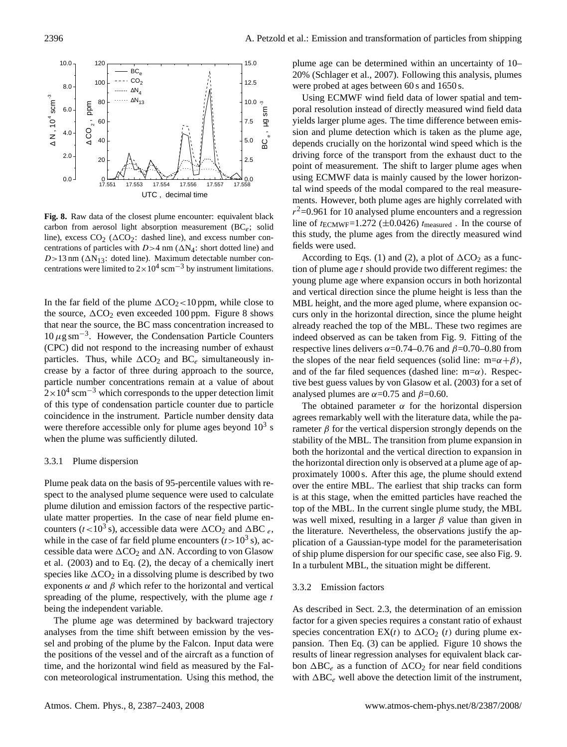

**Fig. 8.** Raw data of the closest plume encounter: equivalent black carbon from aerosol light absorption measurement  $(BC_e;$  solid line), excess  $CO_2$  ( $\Delta CO_2$ : dashed line), and excess number concentrations of particles with  $D>4$  nm ( $\Delta N_4$ : short dotted line) and  $D>13$  nm ( $\Delta N_{13}$ : doted line). Maximum detectable number concentrations were limited to  $2 \times 10^4$  scm<sup>-3</sup> by instrument limitations.

In the far field of the plume  $\Delta CO_2$  < 10 ppm, while close to the source,  $\Delta CO_2$  even exceeded 100 ppm. Figure 8 shows that near the source, the BC mass concentration increased to  $10 \,\mu$ g sm<sup>-3</sup>. However, the Condensation Particle Counters (CPC) did not respond to the increasing number of exhaust particles. Thus, while  $\Delta CO_2$  and  $BC_e$  simultaneously increase by a factor of three during approach to the source, particle number concentrations remain at a value of about  $2\times10^{4}$  scm<sup>-3</sup> which corresponds to the upper detection limit of this type of condensation particle counter due to particle coincidence in the instrument. Particle number density data were therefore accessible only for plume ages beyond  $10<sup>3</sup>$  s when the plume was sufficiently diluted.

#### 3.3.1 Plume dispersion

Plume peak data on the basis of 95-percentile values with respect to the analysed plume sequence were used to calculate plume dilution and emission factors of the respective particulate matter properties. In the case of near field plume encounters ( $t < 10^3$  s), accessible data were  $\Delta CO_2$  and  $\Delta BC_e$ , while in the case of far field plume encounters  $(t>10^3 s)$ , accessible data were  $\Delta CO_2$  and  $\Delta N$ . According to von Glasow et al. (2003) and to Eq. (2), the decay of a chemically inert species like  $\Delta CO_2$  in a dissolving plume is described by two exponents  $\alpha$  and  $\beta$  which refer to the horizontal and vertical spreading of the plume, respectively, with the plume age  $t$ being the independent variable.

The plume age was determined by backward trajectory analyses from the time shift between emission by the vessel and probing of the plume by the Falcon. Input data were the positions of the vessel and of the aircraft as a function of time, and the horizontal wind field as measured by the Falcon meteorological instrumentation. Using this method, the plume age can be determined within an uncertainty of 10– 20% (Schlager et al., 2007). Following this analysis, plumes were probed at ages between 60 s and 1650 s.

 driving force of the transport from the exhaust duct to the depends crucially on the horizontal wind speed which is the  $\frac{1}{2}$  sion and plume detection which is taken as the plume age, yields larger plume ages. The time difference between emis-Using ECMWF wind field data of lower spatial and temporal resolution instead of directly measured wind field data point of measurement. The shift to larger plume ages when using ECMWF data is mainly caused by the lower horizontal wind speeds of the modal compared to the real measurements. However, both plume ages are highly correlated with  $r^2$ =0.961 for 10 analysed plume encounters and a regression line of  $t_{\text{ECMWF}}$ =1.272 ( $\pm$ 0.0426)  $t_{\text{measured}}$ . In the course of this study, the plume ages from the directly measured wind fields were used.

> According to Eqs. (1) and (2), a plot of  $\Delta CO_2$  as a function of plume age  $t$  should provide two different regimes: the young plume age where expansion occurs in both horizontal and vertical direction since the plume height is less than the MBL height, and the more aged plume, where expansion occurs only in the horizontal direction, since the plume height already reached the top of the MBL. These two regimes are indeed observed as can be taken from Fig. 9. Fitting of the respective lines delivers  $\alpha$ =0.74–0.76 and  $\beta$ =0.70–0.80 from the slopes of the near field sequences (solid line: m= $\alpha + \beta$ ), and of the far filed sequences (dashed line:  $m=\alpha$ ). Respective best guess values by von Glasow et al. (2003) for a set of analysed plumes are  $\alpha$ =0.75 and  $\beta$ =0.60.

> The obtained parameter  $\alpha$  for the horizontal dispersion agrees remarkably well with the literature data, while the parameter  $\beta$  for the vertical dispersion strongly depends on the stability of the MBL. The transition from plume expansion in both the horizontal and the vertical direction to expansion in the horizontal direction only is observed at a plume age of approximately 1000 s. After this age, the plume should extend over the entire MBL. The earliest that ship tracks can form is at this stage, when the emitted particles have reached the top of the MBL. In the current single plume study, the MBL was well mixed, resulting in a larger  $\beta$  value than given in the literature. Nevertheless, the observations justify the application of a Gaussian-type model for the parameterisation of ship plume dispersion for our specific case, see also Fig. 9. In a turbulent MBL, the situation might be different.

## 3.3.2 Emission factors

As described in Sect. 2.3, the determination of an emission factor for a given species requires a constant ratio of exhaust species concentration  $EX(t)$  to  $\Delta CO_2(t)$  during plume expansion. Then Eq. (3) can be applied. Figure 10 shows the results of linear regression analyses for equivalent black carbon  $\Delta BC_e$  as a function of  $\Delta CO_2$  for near field conditions with  $\Delta BC_e$  well above the detection limit of the instrument,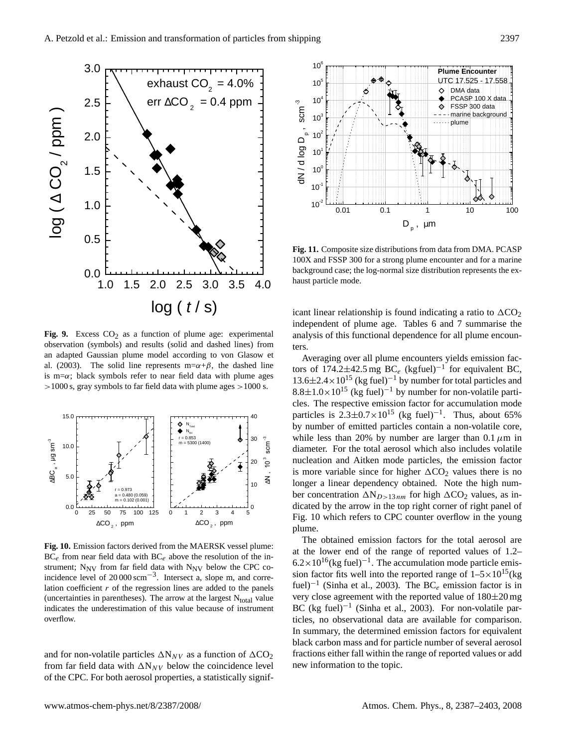

**Fig. 9.** Excess  $CO<sub>2</sub>$  as a function of plume age: experimental observation (symbols) and results (solid and dashed lines) from an adapted Gaussian plume model according to von Glasow et al. (2003). The solid line represents m= $\alpha + \beta$ , the dashed line is m= $\alpha$ ; black symbols refer to near field data with plume ages >1000 s, gray symbols to far field data with plume ages >1000 s.



**Fig. 10.** Emission factors derived from the MAERSK vessel plume:  $BC_e$  from near field data with  $BC_e$  above the resolution of the instrument;  $N_{\text{NV}}$  from far field data with  $N_{\text{NV}}$  below the CPC coincidence level of 20 000 scm−<sup>3</sup> . Intersect a, slope m, and correlation coefficient  $r$  of the regression lines are added to the panels (uncertainties in parentheses). The arrow at the largest  $N_{total}$  value indicates the underestimation of this value because of instrument overflow.

and for non-volatile particles  $\Delta N_{NV}$  as a function of  $\Delta CO_2$ from far field data with  $\Delta N_{NV}$  below the coincidence level of the CPC. For both aerosol properties, a statistically signif-



**Fig. 11.** Composite size distributions from data from DMA. PCASP 100X and FSSP 300 for a strong plume encounter and for a marine background case; the log-normal size distribution represents the exhaust particle mode.

icant linear relationship is found indicating a ratio to  $\Delta CO_2$ independent of plume age. Tables 6 and 7 summarise the analysis of this functional dependence for all plume encounters.

 longer a linear dependency obtained. Note the high num- $\frac{1}{2}$  is more variable since for higher  $\Delta CO_2$  values there is no diameter. For the total aerosol which also includes volatile while less than 20% by number are larger than 0.1  $\mu$ m in Averaging over all plume encounters yields emission factors of 174.2 $\pm$ 42.5 mg BC<sub>e</sub> (kgfuel)<sup>-1</sup> for equivalent BC,  $13.6\pm2.4\times10^{15}$  (kg fuel)<sup>-1</sup> by number for total particles and  $8.8\pm1.0\times10^{15}$  (kg fuel)<sup>-1</sup> by number for non-volatile particles. The respective emission factor for accumulation mode particles is  $2.3 \pm 0.7 \times 10^{15}$  (kg fuel)<sup>-1</sup>. Thus, about 65% by number of emitted particles contain a non-volatile core, nucleation and Aitken mode particles, the emission factor ber concentration  $\Delta N_{D>13 nm}$  for high  $\Delta CO_2$  values, as indicated by the arrow in the top right corner of right panel of Fig. 10 which refers to CPC counter overflow in the young plume.

The obtained emission factors for the total aerosol are at the lower end of the range of reported values of 1.2–  $6.2 \times 10^{16}$ (kg fuel)<sup>-1</sup>. The accumulation mode particle emission factor fits well into the reported range of  $1-5\times10^{15}$  (kg fuel)<sup>-1</sup> (Sinha et al., 2003). The BC<sub>e</sub> emission factor is in very close agreement with the reported value of 180±20 mg BC (kg fuel)<sup>-1</sup> (Sinha et al., 2003). For non-volatile particles, no observational data are available for comparison. In summary, the determined emission factors for equivalent black carbon mass and for particle number of several aerosol fractions either fall within the range of reported values or add new information to the topic.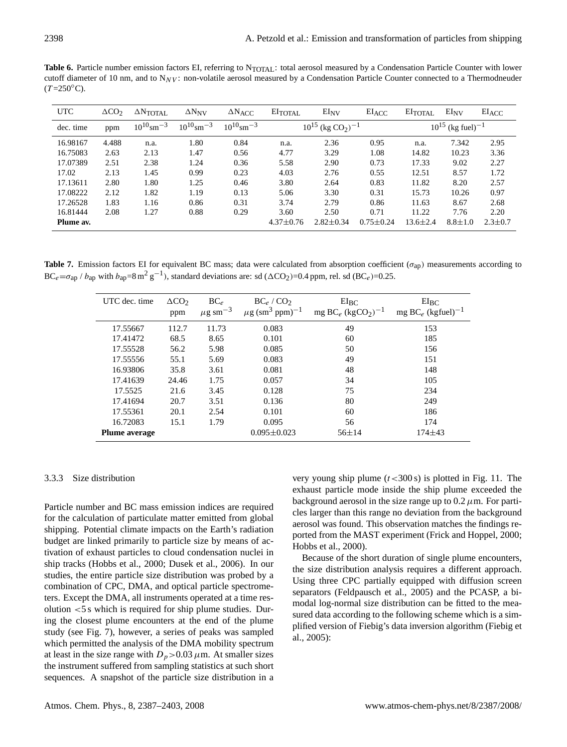Table 6. Particle number emission factors EI, referring to N<sub>TOTAL</sub>: total aerosol measured by a Condensation Particle Counter with lower cutoff diameter of 10 nm, and to  $N_{\text{NV}}$ : non-volatile aerosol measured by a Condensation Particle Counter connected to a Thermodneuder  $(T=250^{\circ}C).$ 

| <b>UTC</b> | $\Delta CO_{2}$ | $\Delta \text{N}_{\text{TOTAL}}$ | $\Delta N_{\rm NV}$        | $\Delta N_{\text{ACC}}$    | $E_I$ <sub>TOTAL</sub>                        | $EI_{\rm NV}$   | $EI_{ACC}$      | $EI$ <sub>TOTAL</sub>             | $EI_{\rm NV}$ | $EI_{ACC}$    |
|------------|-----------------|----------------------------------|----------------------------|----------------------------|-----------------------------------------------|-----------------|-----------------|-----------------------------------|---------------|---------------|
| dec. time  | ppm             | $10^{10}$ sm <sup>-3</sup>       | $10^{10}$ sm <sup>-3</sup> | $10^{10}$ sm <sup>-3</sup> | $10^{15}$ (kg CO <sub>2</sub> ) <sup>-1</sup> |                 |                 | $10^{15}$ (kg fuel) <sup>-1</sup> |               |               |
| 16.98167   | 4.488           | n.a.                             | 1.80                       | 0.84                       | n.a.                                          | 2.36            | 0.95            | n.a.                              | 7.342         | 2.95          |
| 16.75083   | 2.63            | 2.13                             | 1.47                       | 0.56                       | 4.77                                          | 3.29            | 1.08            | 14.82                             | 10.23         | 3.36          |
| 17.07389   | 2.51            | 2.38                             | 1.24                       | 0.36                       | 5.58                                          | 2.90            | 0.73            | 17.33                             | 9.02          | 2.27          |
| 17.02      | 2.13            | 1.45                             | 0.99                       | 0.23                       | 4.03                                          | 2.76            | 0.55            | 12.51                             | 8.57          | 1.72          |
| 17.13611   | 2.80            | 1.80                             | 1.25                       | 0.46                       | 3.80                                          | 2.64            | 0.83            | 11.82                             | 8.20          | 2.57          |
| 17.08222   | 2.12            | 1.82                             | 1.19                       | 0.13                       | 5.06                                          | 3.30            | 0.31            | 15.73                             | 10.26         | 0.97          |
| 17.26528   | 1.83            | 1.16                             | 0.86                       | 0.31                       | 3.74                                          | 2.79            | 0.86            | 11.63                             | 8.67          | 2.68          |
| 16.81444   | 2.08            | 1.27                             | 0.88                       | 0.29                       | 3.60                                          | 2.50            | 0.71            | 11.22                             | 7.76          | 2.20          |
| Plume av.  |                 |                                  |                            |                            | $4.37 \pm 0.76$                               | $2.82 \pm 0.34$ | $0.75 \pm 0.24$ | $13.6 \pm 2.4$                    | $8.8 \pm 1.0$ | $2.3 \pm 0.7$ |

Table 7. Emission factors EI for equivalent BC mass; data were calculated from absorption coefficient (σ<sub>ap</sub>) measurements according to  $BC_e = \sigma_{ap}$  /  $b_{ap}$  with  $b_{ap} = 8 \text{ m}^2 \text{ g}^{-1}$ ), standard deviations are: sd ( $\Delta CO_2$ )=0.4 ppm, rel. sd (BC<sub>e</sub>)=0.25.

| UTC dec. time        | $\Delta CO_{2}$<br>ppm | $BC_{\rho}$<br>$\mu$ g sm <sup>-3</sup> | $BC_e/CO2$<br>$\mu$ g (sm <sup>3</sup> ppm) <sup>-1</sup> | $EI_{BC}$<br>mg BC <sub>e</sub> (kgCO <sub>2</sub> ) <sup>-1</sup> | $EI_{BC}$<br>mg BC <sub>e</sub> (kgfuel) <sup>-1</sup> |
|----------------------|------------------------|-----------------------------------------|-----------------------------------------------------------|--------------------------------------------------------------------|--------------------------------------------------------|
| 17.55667             | 112.7                  | 11.73                                   | 0.083                                                     | 49                                                                 | 153                                                    |
| 17.41472             | 68.5                   | 8.65                                    | 0.101                                                     | 60                                                                 | 185                                                    |
| 17.55528             | 56.2                   | 5.98                                    | 0.085                                                     | 50                                                                 | 156                                                    |
| 17.55556             | 55.1                   | 5.69                                    | 0.083                                                     | 49                                                                 | 151                                                    |
| 16.93806             | 35.8                   | 3.61                                    | 0.081                                                     | 48                                                                 | 148                                                    |
| 17.41639             | 24.46                  | 1.75                                    | 0.057                                                     | 34                                                                 | 105                                                    |
| 17.5525              | 21.6                   | 3.45                                    | 0.128                                                     | 75                                                                 | 234                                                    |
| 17.41694             | 20.7                   | 3.51                                    | 0.136                                                     | 80                                                                 | 249                                                    |
| 17.55361             | 20.1                   | 2.54                                    | 0.101                                                     | 60                                                                 | 186                                                    |
| 16.72083             | 15.1                   | 1.79                                    | 0.095                                                     | 56                                                                 | 174                                                    |
| <b>Plume average</b> |                        |                                         | $0.095 \pm 0.023$                                         | $56 \pm 14$                                                        | 174±43                                                 |

## 3.3.3 Size distribution

Particle number and BC mass emission indices are required for the calculation of particulate matter emitted from global shipping. Potential climate impacts on the Earth's radiation budget are linked primarily to particle size by means of activation of exhaust particles to cloud condensation nuclei in ship tracks (Hobbs et al., 2000; Dusek et al., 2006). In our studies, the entire particle size distribution was probed by a combination of CPC, DMA, and optical particle spectrometers. Except the DMA, all instruments operated at a time resolution <5 s which is required for ship plume studies. During the closest plume encounters at the end of the plume study (see Fig. 7), however, a series of peaks was sampled which permitted the analysis of the DMA mobility spectrum at least in the size range with  $D_p > 0.03 \mu$ m. At smaller sizes the instrument suffered from sampling statistics at such short sequences. A snapshot of the particle size distribution in a

very young ship plume  $(t < 300 \text{ s})$  is plotted in Fig. 11. The exhaust particle mode inside the ship plume exceeded the background aerosol in the size range up to  $0.2 \mu$ m. For particles larger than this range no deviation from the background aerosol was found. This observation matches the findings reported from the MAST experiment (Frick and Hoppel, 2000; Hobbs et al., 2000).

Because of the short duration of single plume encounters, the size distribution analysis requires a different approach. Using three CPC partially equipped with diffusion screen separators (Feldpausch et al., 2005) and the PCASP, a bimodal log-normal size distribution can be fitted to the measured data according to the following scheme which is a simplified version of Fiebig's data inversion algorithm (Fiebig et al., 2005):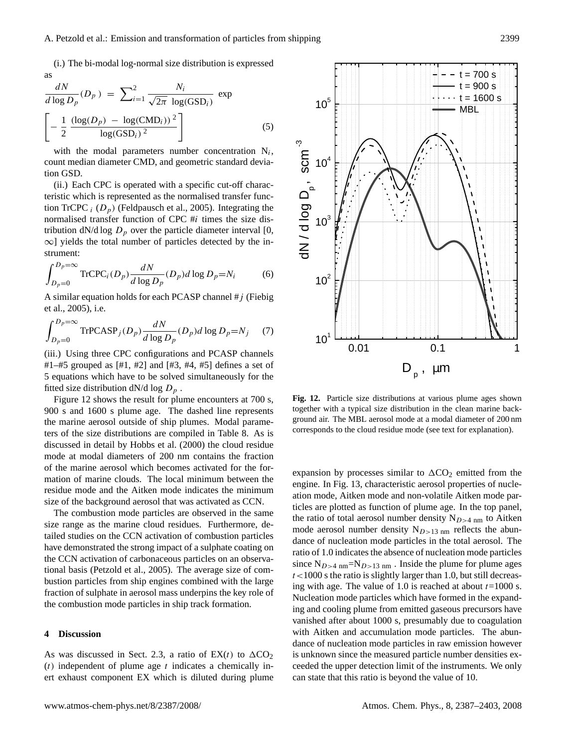(i.) The bi-modal log-normal size distribution is expressed as

$$
\frac{dN}{d \log D_p}(D_p) = \sum_{i=1}^2 \frac{N_i}{\sqrt{2\pi} \log(\text{GSD}_i)} \exp \left[-\frac{1}{2} \frac{(\log(D_p) - \log(\text{CMD}_i))^2}{\log(\text{GSD}_i)^2}\right]
$$
(5)

with the modal parameters number concentration  $N_i$ , count median diameter CMD, and geometric standard deviation GSD.

(ii.) Each CPC is operated with a specific cut-off characteristic which is represented as the normalised transfer function TrCPC  $_i$  ( $D_n$ ) (Feldpausch et al., 2005). Integrating the normalised transfer function of CPC #i times the size distribution dN/d log  $D_p$  over the particle diameter interval [0, ∞] yields the total number of particles detected by the instrument:

$$
\int_{D_p=0}^{D_p=\infty} \text{TrCPC}_i(D_p) \frac{dN}{d \log D_p}(D_p) d \log D_p = N_i \tag{6}
$$

A similar equation holds for each PCASP channel  $\#j$  (Fiebig et al., 2005), i.e.

$$
\int_{D_p=0}^{D_p=\infty} \text{TrPCASP}_j(D_p) \frac{dN}{d \log D_p}(D_p) d \log D_p = N_j \tag{7}
$$

(iii.) Using three CPC configurations and PCASP channels #1–#5 grouped as  $[#1, #2]$  and  $[#3, #4, #5]$  defines a set of 5 equations which have to be solved simultaneously for the fitted size distribution dN/d log  $D_p$ .

Figure 12 shows the result for plume encounters at 700 s, 900 s and 1600 s plume age. The dashed line represents the marine aerosol outside of ship plumes. Modal parameters of the size distributions are compiled in Table 8. As is discussed in detail by Hobbs et al. (2000) the cloud residue mode at modal diameters of 200 nm contains the fraction of the marine aerosol which becomes activated for the formation of marine clouds. The local minimum between the residue mode and the Aitken mode indicates the minimum size of the background aerosol that was activated as CCN.

The combustion mode particles are observed in the same size range as the marine cloud residues. Furthermore, detailed studies on the CCN activation of combustion particles have demonstrated the strong impact of a sulphate coating on the CCN activation of carbonaceous particles on an observational basis (Petzold et al., 2005). The average size of combustion particles from ship engines combined with the large fraction of sulphate in aerosol mass underpins the key role of the combustion mode particles in ship track formation.

#### **4 Discussion**

As was discussed in Sect. 2.3, a ratio of  $EX(t)$  to  $\Delta CO_2$  $(t)$  independent of plume age t indicates a chemically inert exhaust component EX which is diluted during plume



**Fig. 12.** Particle size distributions at various plume ages shown together with a typical size distribution in the clean marine background air. The MBL aerosol mode at a modal diameter of 200 nm corresponds to the cloud residue mode (see text for explanation).

expansion by processes similar to  $\Delta CO_2$  emitted from the engine. In Fig. 13, characteristic aerosol properties of nucleation mode, Aitken mode and non-volatile Aitken mode particles are plotted as function of plume age. In the top panel, the ratio of total aerosol number density  $N_{D>4 \text{ nm}}$  to Aitken mode aerosol number density  $N_{D>13 \text{ nm}}$  reflects the abundance of nucleation mode particles in the total aerosol. The ratio of 1.0 indicates the absence of nucleation mode particles since  $N_{D>4 \text{ nm}}=N_{D>13 \text{ nm}}$ . Inside the plume for plume ages  $t$ <1000 s the ratio is slightly larger than 1.0, but still decreasing with age. The value of 1.0 is reached at about  $t=1000$  s. Nucleation mode particles which have formed in the expanding and cooling plume from emitted gaseous precursors have vanished after about 1000 s, presumably due to coagulation with Aitken and accumulation mode particles. The abundance of nucleation mode particles in raw emission however is unknown since the measured particle number densities exceeded the upper detection limit of the instruments. We only can state that this ratio is beyond the value of 10.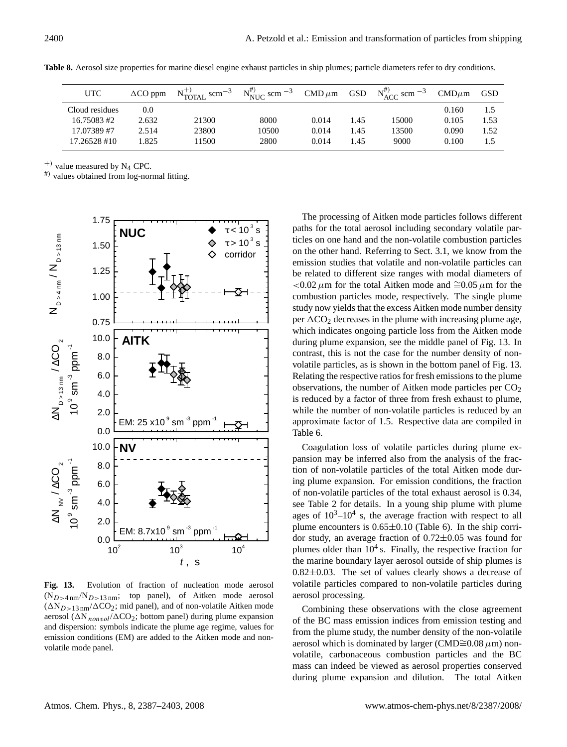| <b>UTC</b>     | $\Delta CO$ ppm | $N_{\text{TOTAL}}^{+}$ scm <sup>-3</sup> | $N_{\text{NUC}}^{\text{\#}}$ scm $^{-3}$ | $\text{CMD}\,\mu\text{m}$ | GSD  | $N_{\rm ACC}^{\#}$ scm $^{-3}$ | $CMD \mu m$ | <b>GSD</b> |
|----------------|-----------------|------------------------------------------|------------------------------------------|---------------------------|------|--------------------------------|-------------|------------|
| Cloud residues | 0.0             |                                          |                                          |                           |      |                                | 0.160       | 1.5        |
| 16.75083#2     | 2.632           | 21300                                    | 8000                                     | 0.014                     | 1.45 | 15000                          | 0.105       | 1.53       |
| 17.07389#7     | 2.514           | 23800                                    | 10500                                    | 0.014                     | 1.45 | 13500                          | 0.090       | 1.52       |
| 17.26528 #10   | 1.825           | 11500                                    | 2800                                     | 0.014                     | 1.45 | 9000                           | 0.100       | 1.5        |

**Table 8.** Aerosol size properties for marine diesel engine exhaust particles in ship plumes; particle diameters refer to dry conditions.

 $^{+)}$  value measured by N<sub>4</sub> CPC.

#) values obtained from log-normal fitting.



**Fig. 13.** Evolution of fraction of nucleation mode aerosol  $(N_{D>4 \text{ nm}}/N_{D>13 \text{ nm}};$  top panel), of Aitken mode aerosol  $(\Delta N_{D>13 \text{ nm}}/\Delta CO_2$ ; mid panel), and of non-volatile Aitken mode aerosol ( $\Delta N_{nonvol}/\Delta CO_2$ ; bottom panel) during plume expansion and dispersion: symbols indicate the plume age regime, values for emission conditions (EM) are added to the Aitken mode and nonvolatile mode panel.

The processing of Aitken mode particles follows different paths for the total aerosol including secondary volatile particles on one hand and the non-volatile combustion particles on the other hand. Referring to Sect. 3.1, we know from the emission studies that volatile and non-volatile particles can be related to different size ranges with modal diameters of  $1$  <0.02 μm for the total Aitken mode and  $\approx 0.05 \mu$ m for the combustion particles mode, respectively. The single plume study now yields that the excess Aitken mode number density per  $\Delta CO_2$  decreases in the plume with increasing plume age, which indicates ongoing particle loss from the Aitken mode during plume expansion, see the middle panel of Fig. 13. In contrast, this is not the case for the number density of nonvolatile particles, as is shown in the bottom panel of Fig. 13. Relating the respective ratios for fresh emissions to the plume observations, the number of Aitken mode particles per  $CO<sub>2</sub>$ is reduced by a factor of three from fresh exhaust to plume, while the number of non-volatile particles is reduced by an approximate factor of 1.5. Respective data are compiled in Table 6.

Coagulation loss of volatile particles during plume expansion may be inferred also from the analysis of the fraction of non-volatile particles of the total Aitken mode during plume expansion. For emission conditions, the fraction of non-volatile particles of the total exhaust aerosol is 0.34, see Table 2 for details. In a young ship plume with plume ages of  $10^3$ - $10^4$  s, the average fraction with respect to all plume encounters is  $0.65 \pm 0.10$  (Table 6). In the ship corridor study, an average fraction of 0.72±0.05 was found for plumes older than  $10<sup>4</sup>$  s. Finally, the respective fraction for the marine boundary layer aerosol outside of ship plumes is  $0.82\pm0.03$ . The set of values clearly shows a decrease of volatile particles compared to non-volatile particles during aerosol processing.

Combining these observations with the close agreement of the BC mass emission indices from emission testing and from the plume study, the number density of the non-volatile aerosol which is dominated by larger (CMD≅0.08  $\mu$ m) nonvolatile, carbonaceous combustion particles and the BC mass can indeed be viewed as aerosol properties conserved during plume expansion and dilution. The total Aitken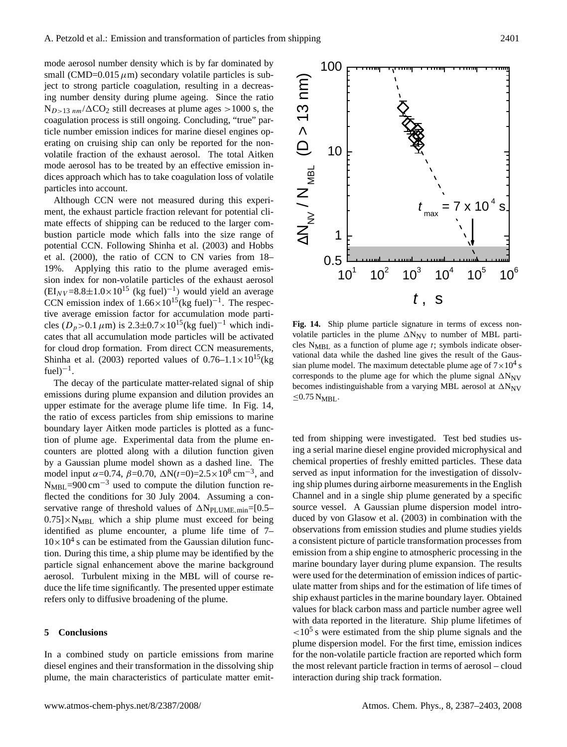mode aerosol number density which is by far dominated by small (CMD= $0.015 \mu m$ ) secondary volatile particles is subject to strong particle coagulation, resulting in a decreasing number density during plume ageing. Since the ratio  $N_{D>13 \ nm}/\Delta CO_2$  still decreases at plume ages  $>1000$  s, the coagulation process is still ongoing. Concluding, "true" particle number emission indices for marine diesel engines operating on cruising ship can only be reported for the nonvolatile fraction of the exhaust aerosol. The total Aitken mode aerosol has to be treated by an effective emission indices approach which has to take coagulation loss of volatile particles into account.

Although CCN were not measured during this experiment, the exhaust particle fraction relevant for potential climate effects of shipping can be reduced to the larger combustion particle mode which falls into the size range of potential CCN. Following Shinha et al. (2003) and Hobbs et al. (2000), the ratio of CCN to CN varies from 18– 19%. Applying this ratio to the plume averaged emission index for non-volatile particles of the exhaust aerosol  $(EI_{NV} = 8.8 \pm 1.0 \times 10^{15}$  (kg fuel)<sup>-1</sup>) would yield an average CCN emission index of  $1.66 \times 10^{15}$ (kg fuel)<sup>-1</sup>. The respective average emission factor for accumulation mode particles ( $D_p > 0.1 \mu$ m) is 2.3±0.7×10<sup>15</sup>(kg fuel)<sup>-1</sup> which indicates that all accumulation mode particles will be activated for cloud drop formation. From direct CCN measurements, Shinha et al. (2003) reported values of  $0.76-1.1\times10^{15}$  (kg  $fuel)^{-1}$ .

The decay of the particulate matter-related signal of ship emissions during plume expansion and dilution provides an upper estimate for the average plume life time. In Fig. 14, the ratio of excess particles from ship emissions to marine boundary layer Aitken mode particles is plotted as a function of plume age. Experimental data from the plume encounters are plotted along with a dilution function given by a Gaussian plume model shown as a dashed line. The model input  $\alpha = 0.74$ ,  $\beta = 0.70$ ,  $\Delta N(t=0) = 2.5 \times 10^8$  cm<sup>-3</sup>, and  $N_{MBL}=900 \text{ cm}^{-3}$  used to compute the dilution function reflected the conditions for 30 July 2004. Assuming a conservative range of threshold values of  $\Delta N_{PLUME,min}$ =[0.5–  $0.75$   $\times$  N<sub>MBL</sub> which a ship plume must exceed for being identified as plume encounter, a plume life time of 7–  $10 \times 10^4$  s can be estimated from the Gaussian dilution function. During this time, a ship plume may be identified by the particle signal enhancement above the marine background aerosol. Turbulent mixing in the MBL will of course reduce the life time significantly. The presented upper estimate refers only to diffusive broadening of the plume.

## **5 Conclusions**

In a combined study on particle emissions from marine diesel engines and their transformation in the dissolving ship plume, the main characteristics of particulate matter emit-



**Fig. 14.** Ship plume particle signature in terms of excess nonvolatile particles in the plume  $\Delta N_{\text{NV}}$  to number of MBL particles  $N_{MBL}$  as a function of plume age t; symbols indicate observational data while the dashed line gives the result of the Gaussian plume model. The maximum detectable plume age of  $7 \times 10^4$  s corresponds to the plume age for which the plume signal  $\Delta N_{\text{NV}}$ becomes indistinguishable from a varying MBL aerosol at  $\Delta N_{\text{NV}}$  $≤0.75 N<sub>MBL</sub>.$ 

ted from shipping were investigated. Test bed studies using a serial marine diesel engine provided microphysical and chemical properties of freshly emitted particles. These data served as input information for the investigation of dissolving ship plumes during airborne measurements in the English Channel and in a single ship plume generated by a specific source vessel. A Gaussian plume dispersion model introduced by von Glasow et al. (2003) in combination with the observations from emission studies and plume studies yields a consistent picture of particle transformation processes from emission from a ship engine to atmospheric processing in the marine boundary layer during plume expansion. The results were used for the determination of emission indices of particulate matter from ships and for the estimation of life times of ship exhaust particles in the marine boundary layer. Obtained values for black carbon mass and particle number agree well with data reported in the literature. Ship plume lifetimes of  $<$ 10<sup>5</sup> s were estimated from the ship plume signals and the plume dispersion model. For the first time, emission indices for the non-volatile particle fraction are reported which form the most relevant particle fraction in terms of aerosol – cloud interaction during ship track formation.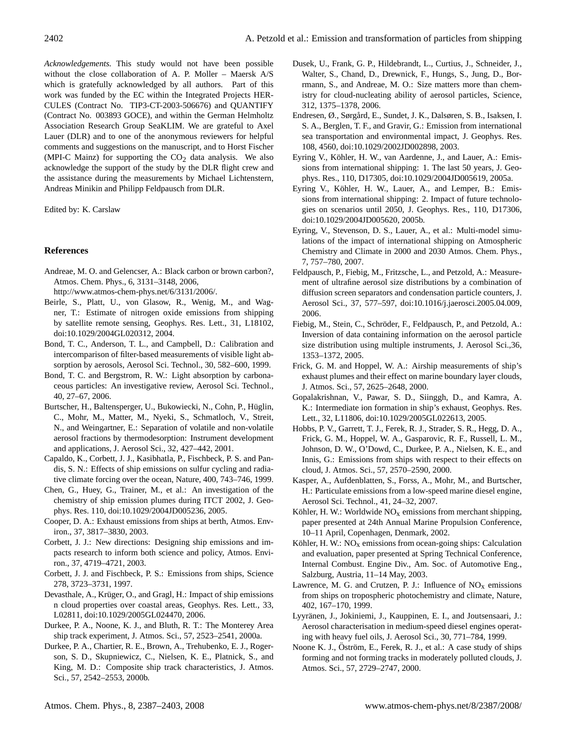*Acknowledgements.* This study would not have been possible without the close collaboration of A. P. Moller – Maersk A/S which is gratefully acknowledged by all authors. Part of this work was funded by the EC within the Integrated Projects HER-CULES (Contract No. TIP3-CT-2003-506676) and QUANTIFY (Contract No. 003893 GOCE), and within the German Helmholtz Association Research Group SeaKLIM. We are grateful to Axel Lauer (DLR) and to one of the anonymous reviewers for helpful comments and suggestions on the manuscript, and to Horst Fischer (MPI-C Mainz) for supporting the  $CO<sub>2</sub>$  data analysis. We also acknowledge the support of the study by the DLR flight crew and the assistance during the measurements by Michael Lichtenstern, Andreas Minikin and Philipp Feldpausch from DLR.

Edited by: K. Carslaw

## **References**

Andreae, M. O. and Gelencser, A.: Black carbon or brown carbon?, Atmos. Chem. Phys., 6, 3131–3148, 2006,

[http://www.atmos-chem-phys.net/6/3131/2006/.](http://www.atmos-chem-phys.net/6/3131/2006/)

- Beirle, S., Platt, U., von Glasow, R., Wenig, M., and Wagner, T.: Estimate of nitrogen oxide emissions from shipping by satellite remote sensing, Geophys. Res. Lett., 31, L18102, doi:10.1029/2004GL020312, 2004.
- Bond, T. C., Anderson, T. L., and Campbell, D.: Calibration and intercomparison of filter-based measurements of visible light absorption by aerosols, Aerosol Sci. Technol., 30, 582–600, 1999.
- Bond, T. C. and Bergstrom, R. W.: Light absorption by carbonaceous particles: An investigative review, Aerosol Sci. Technol., 40, 27–67, 2006.
- Burtscher, H., Baltensperger, U., Bukowiecki, N., Cohn, P., Huglin, ¨ C., Mohr, M., Matter, M., Nyeki, S., Schmatloch, V., Streit, N., and Weingartner, E.: Separation of volatile and non-volatile aerosol fractions by thermodesorption: Instrument development and applications, J. Aerosol Sci., 32, 427–442, 2001.
- Capaldo, K., Corbett, J. J., Kasibhatla, P., Fischbeck, P. S. and Pandis, S. N.: Effects of ship emissions on sulfur cycling and radiative climate forcing over the ocean, Nature, 400, 743–746, 1999.
- Chen, G., Huey, G., Trainer, M., et al.: An investigation of the chemistry of ship emission plumes during ITCT 2002, J. Geophys. Res. 110, doi:10.1029/2004JD005236, 2005.
- Cooper, D. A.: Exhaust emissions from ships at berth, Atmos. Environ., 37, 3817–3830, 2003.
- Corbett, J. J.: New directions: Designing ship emissions and impacts research to inform both science and policy, Atmos. Environ., 37, 4719–4721, 2003.
- Corbett, J. J. and Fischbeck, P. S.: Emissions from ships, Science 278, 3723–3731, 1997.
- Devasthale, A., Krüger, O., and Gragl, H.: Impact of ship emissions n cloud properties over coastal areas, Geophys. Res. Lett., 33, L02811, doi:10.1029/2005GL024470, 2006.
- Durkee, P. A., Noone, K. J., and Bluth, R. T.: The Monterey Area ship track experiment, J. Atmos. Sci., 57, 2523–2541, 2000a.
- Durkee, P. A., Chartier, R. E., Brown, A., Trehubenko, E. J., Rogerson, S. D., Skupniewicz, C., Nielsen, K. E., Platnick, S., and King, M. D.: Composite ship track characteristics, J. Atmos. Sci., 57, 2542–2553, 2000b.
- Dusek, U., Frank, G. P., Hildebrandt, L., Curtius, J., Schneider, J., Walter, S., Chand, D., Drewnick, F., Hungs, S., Jung, D., Borrmann, S., and Andreae, M. O.: Size matters more than chemistry for cloud-nucleating ability of aerosol particles, Science, 312, 1375–1378, 2006.
- Endresen, Ø., Sørgård, E., Sundet, J. K., Dalsøren, S. B., Isaksen, I. S. A., Berglen, T. F., and Gravir, G.: Emission from international sea transportation and environmental impact, J. Geophys. Res. 108, 4560, doi:10.1029/2002JD002898, 2003.
- Eyring V., Köhler, H. W., van Aardenne, J., and Lauer, A.: Emissions from international shipping: 1. The last 50 years, J. Geophys. Res., 110, D17305, doi:10.1029/2004JD005619, 2005a.
- Eyring V., Köhler, H. W., Lauer, A., and Lemper, B.: Emissions from international shipping: 2. Impact of future technologies on scenarios until 2050, J. Geophys. Res., 110, D17306, doi:10.1029/2004JD005620, 2005b.
- Eyring, V., Stevenson, D. S., Lauer, A., et al.: Multi-model simulations of the impact of international shipping on Atmospheric Chemistry and Climate in 2000 and 2030 Atmos. Chem. Phys., 7, 757–780, 2007.
- Feldpausch, P., Fiebig, M., Fritzsche, L., and Petzold, A.: Measurement of ultrafine aerosol size distributions by a combination of diffusion screen separators and condensation particle counters, J. Aerosol Sci., 37, 577–597, doi:10.1016/j.jaerosci.2005.04.009, 2006.
- Fiebig, M., Stein, C., Schroder, F., Feldpausch, P., and Petzold, A.: ¨ Inversion of data containing information on the aerosol particle size distribution using multiple instruments, J. Aerosol Sci.,36, 1353–1372, 2005.
- Frick, G. M. and Hoppel, W. A.: Airship measurements of ship's exhaust plumes and their effect on marine boundary layer clouds, J. Atmos. Sci., 57, 2625–2648, 2000.
- Gopalakrishnan, V., Pawar, S. D., Siinggh, D., and Kamra, A. K.: Intermediate ion formation in ship's exhaust, Geophys. Res. Lett., 32, L11806, doi:10.1029/2005GL022613, 2005.
- Hobbs, P. V., Garrett, T. J., Ferek, R. J., Strader, S. R., Hegg, D. A., Frick, G. M., Hoppel, W. A., Gasparovic, R. F., Russell, L. M., Johnson, D. W., O'Dowd, C., Durkee, P. A., Nielsen, K. E., and Innis, G.: Emissions from ships with respect to their effects on cloud, J. Atmos. Sci., 57, 2570–2590, 2000.
- Kasper, A., Aufdenblatten, S., Forss, A., Mohr, M., and Burtscher, H.: Particulate emissions from a low-speed marine diesel engine, Aerosol Sci. Technol., 41, 24–32, 2007.
- Köhler, H. W.: Worldwide  $NO<sub>x</sub>$  emissions from merchant shipping, paper presented at 24th Annual Marine Propulsion Conference, 10–11 April, Copenhagen, Denmark, 2002.
- Köhler, H. W.:  $NO<sub>x</sub>$  emissions from ocean-going ships: Calculation and evaluation, paper presented at Spring Technical Conference, Internal Combust. Engine Div., Am. Soc. of Automotive Eng., Salzburg, Austria, 11–14 May, 2003.
- Lawrence, M. G. and Crutzen, P. J.: Influence of  $NO<sub>x</sub>$  emissions from ships on tropospheric photochemistry and climate, Nature, 402, 167–170, 1999.
- Lyyränen, J., Jokiniemi, J., Kauppinen, E. I., and Joutsensaari, J.: Aerosol characterisation in medium-speed diesel engines operating with heavy fuel oils, J. Aerosol Sci., 30, 771–784, 1999.
- Noone K. J., Öström, E., Ferek, R. J., et al.: A case study of ships forming and not forming tracks in moderately polluted clouds, J. Atmos. Sci., 57, 2729–2747, 2000.